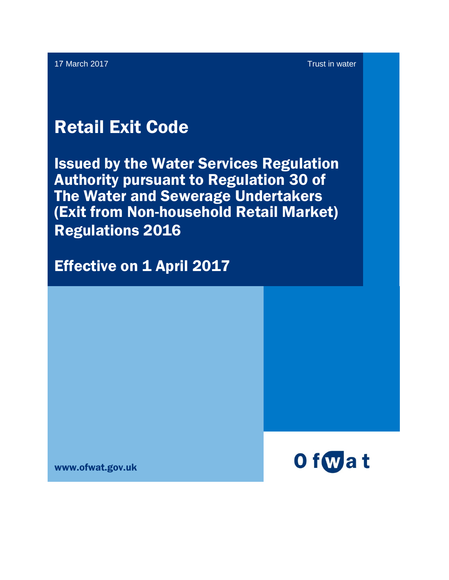17 March 2017 **Trust in Water Street African Street African Street African Street African Street African Street African Street African Street African Street African Street African Street African Street African Street Afric** 

# Retail Exit Code

Issued by the Water Services Regulation Authority pursuant to Regulation 30 of The Water and Sewerage Undertakers (Exit from Non-household Retail Market) Regulations 2016

**Effective on 1 April 2017** 

www.ofwat.gov.uk

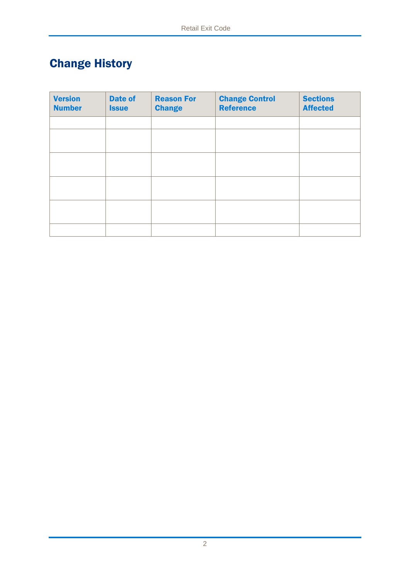## Change History

| <b>Version</b><br><b>Number</b> | <b>Date of</b><br><b>Issue</b> | <b>Reason For</b><br><b>Change</b> | <b>Change Control</b><br><b>Reference</b> | <b>Sections</b><br><b>Affected</b> |
|---------------------------------|--------------------------------|------------------------------------|-------------------------------------------|------------------------------------|
|                                 |                                |                                    |                                           |                                    |
|                                 |                                |                                    |                                           |                                    |
|                                 |                                |                                    |                                           |                                    |
|                                 |                                |                                    |                                           |                                    |
|                                 |                                |                                    |                                           |                                    |
|                                 |                                |                                    |                                           |                                    |
|                                 |                                |                                    |                                           |                                    |
|                                 |                                |                                    |                                           |                                    |
|                                 |                                |                                    |                                           |                                    |
|                                 |                                |                                    |                                           |                                    |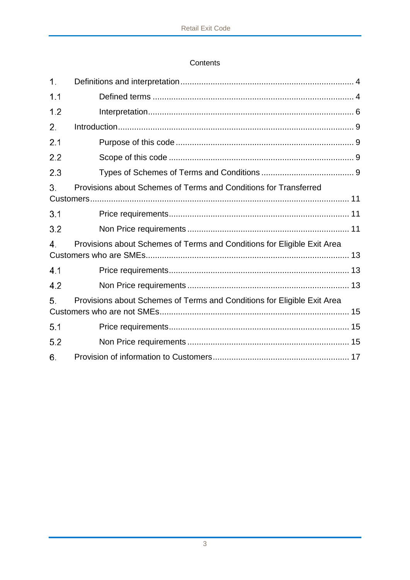## Contents

| 1.  |                                                                         |  |  |  |
|-----|-------------------------------------------------------------------------|--|--|--|
| 1.1 |                                                                         |  |  |  |
| 1.2 |                                                                         |  |  |  |
| 2.  |                                                                         |  |  |  |
| 2.1 |                                                                         |  |  |  |
| 2.2 |                                                                         |  |  |  |
| 2.3 |                                                                         |  |  |  |
| 3.  | Provisions about Schemes of Terms and Conditions for Transferred        |  |  |  |
|     |                                                                         |  |  |  |
| 3.1 |                                                                         |  |  |  |
| 3.2 |                                                                         |  |  |  |
| 4.  | Provisions about Schemes of Terms and Conditions for Eligible Exit Area |  |  |  |
|     |                                                                         |  |  |  |
| 4.1 |                                                                         |  |  |  |
| 4.2 |                                                                         |  |  |  |
| 5.  | Provisions about Schemes of Terms and Conditions for Eligible Exit Area |  |  |  |
|     |                                                                         |  |  |  |
| 5.1 |                                                                         |  |  |  |
| 5.2 |                                                                         |  |  |  |
| 6.  |                                                                         |  |  |  |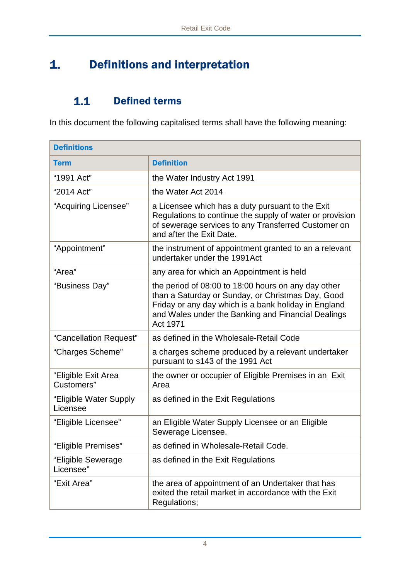## <span id="page-3-0"></span>1. Definitions and interpretation

## $1.1$ Defined terms

<span id="page-3-1"></span>In this document the following capitalised terms shall have the following meaning:

| <b>Definitions</b>                 |                                                                                                                                                                                                                                    |  |  |  |
|------------------------------------|------------------------------------------------------------------------------------------------------------------------------------------------------------------------------------------------------------------------------------|--|--|--|
| <b>Term</b>                        | <b>Definition</b>                                                                                                                                                                                                                  |  |  |  |
| "1991 Act"                         | the Water Industry Act 1991                                                                                                                                                                                                        |  |  |  |
| "2014 Act"                         | the Water Act 2014                                                                                                                                                                                                                 |  |  |  |
| "Acquiring Licensee"               | a Licensee which has a duty pursuant to the Exit<br>Regulations to continue the supply of water or provision<br>of sewerage services to any Transferred Customer on<br>and after the Exit Date.                                    |  |  |  |
| "Appointment"                      | the instrument of appointment granted to an a relevant<br>undertaker under the 1991Act                                                                                                                                             |  |  |  |
| "Area"                             | any area for which an Appointment is held                                                                                                                                                                                          |  |  |  |
| "Business Day"                     | the period of 08:00 to 18:00 hours on any day other<br>than a Saturday or Sunday, or Christmas Day, Good<br>Friday or any day which is a bank holiday in England<br>and Wales under the Banking and Financial Dealings<br>Act 1971 |  |  |  |
| "Cancellation Request"             | as defined in the Wholesale-Retail Code                                                                                                                                                                                            |  |  |  |
| "Charges Scheme"                   | a charges scheme produced by a relevant undertaker<br>pursuant to s143 of the 1991 Act                                                                                                                                             |  |  |  |
| "Eligible Exit Area<br>Customers"  | the owner or occupier of Eligible Premises in an Exit<br>Area                                                                                                                                                                      |  |  |  |
| "Eligible Water Supply<br>Licensee | as defined in the Exit Regulations                                                                                                                                                                                                 |  |  |  |
| "Eligible Licensee"                | an Eligible Water Supply Licensee or an Eligible<br>Sewerage Licensee.                                                                                                                                                             |  |  |  |
| "Eligible Premises"                | as defined in Wholesale-Retail Code.                                                                                                                                                                                               |  |  |  |
| "Eligible Sewerage<br>Licensee"    | as defined in the Exit Regulations                                                                                                                                                                                                 |  |  |  |
| "Exit Area"                        | the area of appointment of an Undertaker that has<br>exited the retail market in accordance with the Exit<br>Regulations;                                                                                                          |  |  |  |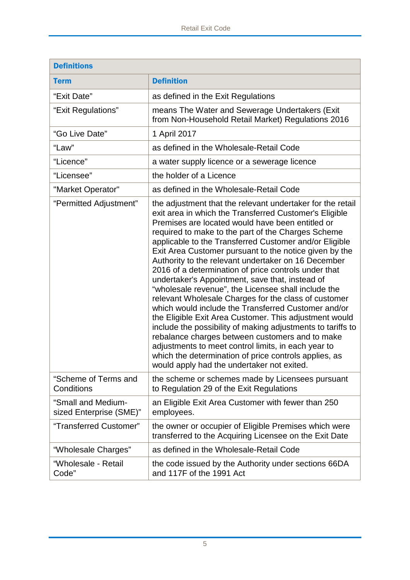| <b>Definitions</b>                            |                                                                                                                                                                                                                                                                                                                                                                                                                                                                                                                                                                                                                                                                                                                                                                                                                                                                                                                                                                                                                                      |  |  |
|-----------------------------------------------|--------------------------------------------------------------------------------------------------------------------------------------------------------------------------------------------------------------------------------------------------------------------------------------------------------------------------------------------------------------------------------------------------------------------------------------------------------------------------------------------------------------------------------------------------------------------------------------------------------------------------------------------------------------------------------------------------------------------------------------------------------------------------------------------------------------------------------------------------------------------------------------------------------------------------------------------------------------------------------------------------------------------------------------|--|--|
| <b>Term</b>                                   | <b>Definition</b>                                                                                                                                                                                                                                                                                                                                                                                                                                                                                                                                                                                                                                                                                                                                                                                                                                                                                                                                                                                                                    |  |  |
| "Exit Date"                                   | as defined in the Exit Regulations                                                                                                                                                                                                                                                                                                                                                                                                                                                                                                                                                                                                                                                                                                                                                                                                                                                                                                                                                                                                   |  |  |
| "Exit Regulations"                            | means The Water and Sewerage Undertakers (Exit<br>from Non-Household Retail Market) Regulations 2016                                                                                                                                                                                                                                                                                                                                                                                                                                                                                                                                                                                                                                                                                                                                                                                                                                                                                                                                 |  |  |
| "Go Live Date"                                | 1 April 2017                                                                                                                                                                                                                                                                                                                                                                                                                                                                                                                                                                                                                                                                                                                                                                                                                                                                                                                                                                                                                         |  |  |
| "Law"                                         | as defined in the Wholesale-Retail Code                                                                                                                                                                                                                                                                                                                                                                                                                                                                                                                                                                                                                                                                                                                                                                                                                                                                                                                                                                                              |  |  |
| "Licence"                                     | a water supply licence or a sewerage licence                                                                                                                                                                                                                                                                                                                                                                                                                                                                                                                                                                                                                                                                                                                                                                                                                                                                                                                                                                                         |  |  |
| "Licensee"                                    | the holder of a Licence                                                                                                                                                                                                                                                                                                                                                                                                                                                                                                                                                                                                                                                                                                                                                                                                                                                                                                                                                                                                              |  |  |
| "Market Operator"                             | as defined in the Wholesale-Retail Code                                                                                                                                                                                                                                                                                                                                                                                                                                                                                                                                                                                                                                                                                                                                                                                                                                                                                                                                                                                              |  |  |
| "Permitted Adjustment"                        | the adjustment that the relevant undertaker for the retail<br>exit area in which the Transferred Customer's Eligible<br>Premises are located would have been entitled or<br>required to make to the part of the Charges Scheme<br>applicable to the Transferred Customer and/or Eligible<br>Exit Area Customer pursuant to the notice given by the<br>Authority to the relevant undertaker on 16 December<br>2016 of a determination of price controls under that<br>undertaker's Appointment, save that, instead of<br>"wholesale revenue", the Licensee shall include the<br>relevant Wholesale Charges for the class of customer<br>which would include the Transferred Customer and/or<br>the Eligible Exit Area Customer. This adjustment would<br>include the possibility of making adjustments to tariffs to<br>rebalance charges between customers and to make<br>adjustments to meet control limits, in each year to<br>which the determination of price controls applies, as<br>would apply had the undertaker not exited. |  |  |
| "Scheme of Terms and<br><b>Conditions</b>     | the scheme or schemes made by Licensees pursuant<br>to Regulation 29 of the Exit Regulations                                                                                                                                                                                                                                                                                                                                                                                                                                                                                                                                                                                                                                                                                                                                                                                                                                                                                                                                         |  |  |
| "Small and Medium-<br>sized Enterprise (SME)" | an Eligible Exit Area Customer with fewer than 250<br>employees.                                                                                                                                                                                                                                                                                                                                                                                                                                                                                                                                                                                                                                                                                                                                                                                                                                                                                                                                                                     |  |  |
| "Transferred Customer"                        | the owner or occupier of Eligible Premises which were<br>transferred to the Acquiring Licensee on the Exit Date                                                                                                                                                                                                                                                                                                                                                                                                                                                                                                                                                                                                                                                                                                                                                                                                                                                                                                                      |  |  |
| "Wholesale Charges"                           | as defined in the Wholesale-Retail Code                                                                                                                                                                                                                                                                                                                                                                                                                                                                                                                                                                                                                                                                                                                                                                                                                                                                                                                                                                                              |  |  |
| "Wholesale - Retail<br>Code"                  | the code issued by the Authority under sections 66DA<br>and 117F of the 1991 Act                                                                                                                                                                                                                                                                                                                                                                                                                                                                                                                                                                                                                                                                                                                                                                                                                                                                                                                                                     |  |  |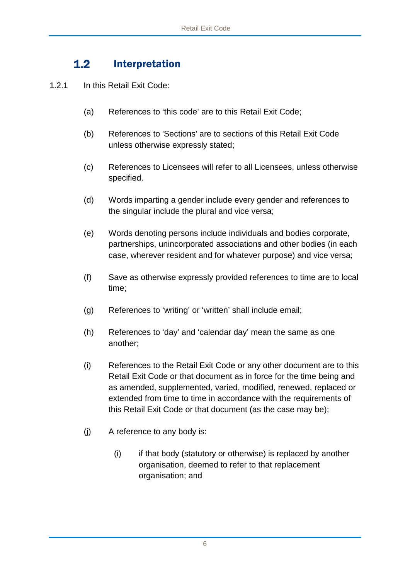## $1.2$ Interpretation

- <span id="page-5-0"></span>1.2.1 In this Retail Exit Code:
	- (a) References to 'this code' are to this Retail Exit Code;
	- (b) References to 'Sections' are to sections of this Retail Exit Code unless otherwise expressly stated;
	- (c) References to Licensees will refer to all Licensees, unless otherwise specified.
	- (d) Words imparting a gender include every gender and references to the singular include the plural and vice versa;
	- (e) Words denoting persons include individuals and bodies corporate, partnerships, unincorporated associations and other bodies (in each case, wherever resident and for whatever purpose) and vice versa;
	- (f) Save as otherwise expressly provided references to time are to local time;
	- (g) References to 'writing' or 'written' shall include email;
	- (h) References to 'day' and 'calendar day' mean the same as one another;
	- (i) References to the Retail Exit Code or any other document are to this Retail Exit Code or that document as in force for the time being and as amended, supplemented, varied, modified, renewed, replaced or extended from time to time in accordance with the requirements of this Retail Exit Code or that document (as the case may be);
	- (j) A reference to any body is:
		- (i) if that body (statutory or otherwise) is replaced by another organisation, deemed to refer to that replacement organisation; and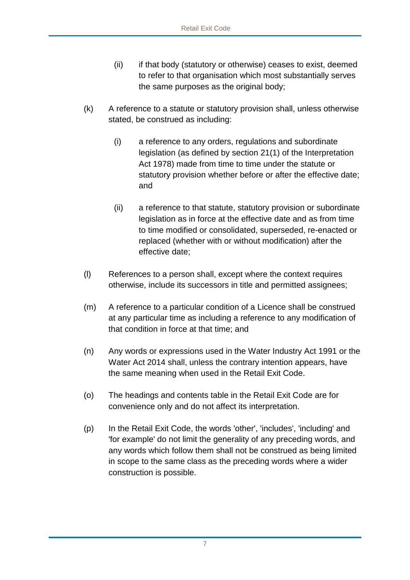- (ii) if that body (statutory or otherwise) ceases to exist, deemed to refer to that organisation which most substantially serves the same purposes as the original body;
- (k) A reference to a statute or statutory provision shall, unless otherwise stated, be construed as including:
	- (i) a reference to any orders, regulations and subordinate legislation (as defined by section 21(1) of the Interpretation Act 1978) made from time to time under the statute or statutory provision whether before or after the effective date; and
	- (ii) a reference to that statute, statutory provision or subordinate legislation as in force at the effective date and as from time to time modified or consolidated, superseded, re-enacted or replaced (whether with or without modification) after the effective date;
- (l) References to a person shall, except where the context requires otherwise, include its successors in title and permitted assignees;
- (m) A reference to a particular condition of a Licence shall be construed at any particular time as including a reference to any modification of that condition in force at that time; and
- (n) Any words or expressions used in the Water Industry Act 1991 or the Water Act 2014 shall, unless the contrary intention appears, have the same meaning when used in the Retail Exit Code.
- (o) The headings and contents table in the Retail Exit Code are for convenience only and do not affect its interpretation.
- (p) In the Retail Exit Code, the words 'other', 'includes', 'including' and 'for example' do not limit the generality of any preceding words, and any words which follow them shall not be construed as being limited in scope to the same class as the preceding words where a wider construction is possible.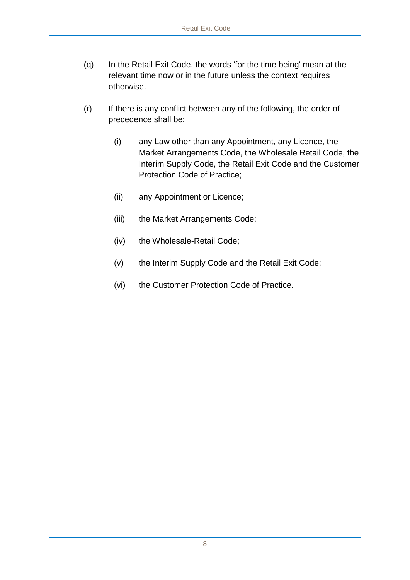- (q) In the Retail Exit Code, the words 'for the time being' mean at the relevant time now or in the future unless the context requires otherwise.
- (r) If there is any conflict between any of the following, the order of precedence shall be:
	- (i) any Law other than any Appointment, any Licence, the Market Arrangements Code, the Wholesale Retail Code, the Interim Supply Code, the Retail Exit Code and the Customer Protection Code of Practice;
	- (ii) any Appointment or Licence;
	- (iii) the Market Arrangements Code:
	- (iv) the Wholesale-Retail Code;
	- (v) the Interim Supply Code and the Retail Exit Code;
	- (vi) the Customer Protection Code of Practice.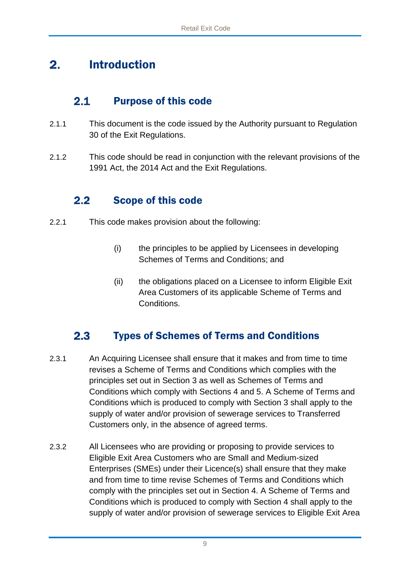## <span id="page-8-0"></span> $2.$ Introduction

#### $2.1$ Purpose of this code

- <span id="page-8-1"></span>2.1.1 This document is the code issued by the Authority pursuant to Regulation 30 of the Exit Regulations.
- 2.1.2 This code should be read in conjunction with the relevant provisions of the 1991 Act, the 2014 Act and the Exit Regulations.

### <span id="page-8-2"></span> $2.2$ Scope of this code

- 2.2.1 This code makes provision about the following:
	- (i) the principles to be applied by Licensees in developing Schemes of Terms and Conditions; and
	- (ii) the obligations placed on a Licensee to inform Eligible Exit Area Customers of its applicable Scheme of Terms and Conditions.

## <span id="page-8-3"></span> $2.3$ Types of Schemes of Terms and Conditions

- 2.3.1 An Acquiring Licensee shall ensure that it makes and from time to time revises a Scheme of Terms and Conditions which complies with the principles set out in Section 3 as well as Schemes of Terms and Conditions which comply with Sections 4 and 5. A Scheme of Terms and Conditions which is produced to comply with Section 3 shall apply to the supply of water and/or provision of sewerage services to Transferred Customers only, in the absence of agreed terms.
- 2.3.2 All Licensees who are providing or proposing to provide services to Eligible Exit Area Customers who are Small and Medium-sized Enterprises (SMEs) under their Licence(s) shall ensure that they make and from time to time revise Schemes of Terms and Conditions which comply with the principles set out in Section 4. A Scheme of Terms and Conditions which is produced to comply with Section 4 shall apply to the supply of water and/or provision of sewerage services to Eligible Exit Area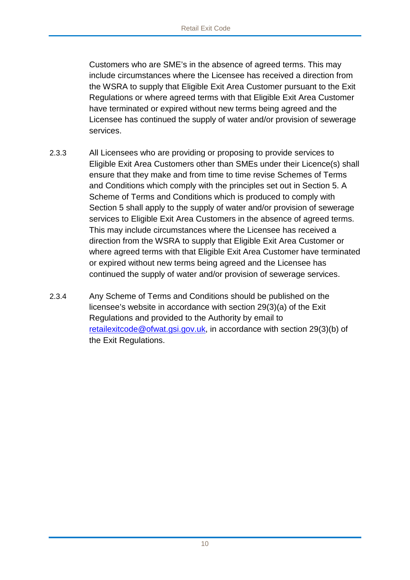Customers who are SME's in the absence of agreed terms. This may include circumstances where the Licensee has received a direction from the WSRA to supply that Eligible Exit Area Customer pursuant to the Exit Regulations or where agreed terms with that Eligible Exit Area Customer have terminated or expired without new terms being agreed and the Licensee has continued the supply of water and/or provision of sewerage services.

- 2.3.3 All Licensees who are providing or proposing to provide services to Eligible Exit Area Customers other than SMEs under their Licence(s) shall ensure that they make and from time to time revise Schemes of Terms and Conditions which comply with the principles set out in Section 5. A Scheme of Terms and Conditions which is produced to comply with Section 5 shall apply to the supply of water and/or provision of sewerage services to Eligible Exit Area Customers in the absence of agreed terms. This may include circumstances where the Licensee has received a direction from the WSRA to supply that Eligible Exit Area Customer or where agreed terms with that Eligible Exit Area Customer have terminated or expired without new terms being agreed and the Licensee has continued the supply of water and/or provision of sewerage services.
- 2.3.4 Any Scheme of Terms and Conditions should be published on the licensee's website in accordance with section 29(3)(a) of the Exit Regulations and provided to the Authority by email to [retailexitcode@ofwat.gsi.gov.uk,](mailto:retailexitcode@ofwat.gsi.gov.uk) in accordance with section 29(3)(b) of the Exit Regulations.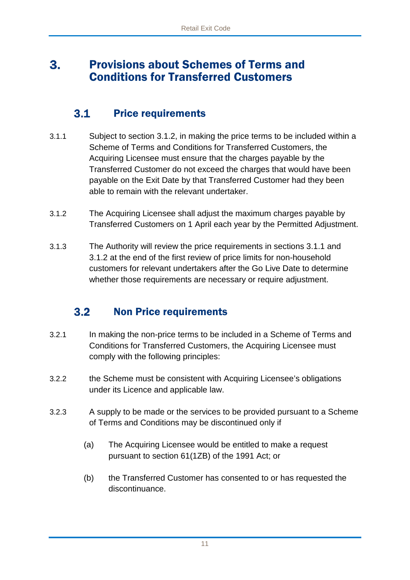## <span id="page-10-0"></span>Provisions about Schemes of Terms and  $3.$ Conditions for Transferred Customers

#### $3.1$ Price requirements

- <span id="page-10-1"></span>3.1.1 Subject to section 3.1.2, in making the price terms to be included within a Scheme of Terms and Conditions for Transferred Customers, the Acquiring Licensee must ensure that the charges payable by the Transferred Customer do not exceed the charges that would have been payable on the Exit Date by that Transferred Customer had they been able to remain with the relevant undertaker.
- 3.1.2 The Acquiring Licensee shall adjust the maximum charges payable by Transferred Customers on 1 April each year by the Permitted Adjustment.
- 3.1.3 The Authority will review the price requirements in sections 3.1.1 and 3.1.2 at the end of the first review of price limits for non-household customers for relevant undertakers after the Go Live Date to determine whether those requirements are necessary or require adjustment.

## <span id="page-10-2"></span> $3.2$ Non Price requirements

- 3.2.1 In making the non-price terms to be included in a Scheme of Terms and Conditions for Transferred Customers, the Acquiring Licensee must comply with the following principles:
- 3.2.2 the Scheme must be consistent with Acquiring Licensee's obligations under its Licence and applicable law.
- 3.2.3 A supply to be made or the services to be provided pursuant to a Scheme of Terms and Conditions may be discontinued only if
	- (a) The Acquiring Licensee would be entitled to make a request pursuant to section 61(1ZB) of the 1991 Act; or
	- (b) the Transferred Customer has consented to or has requested the discontinuance.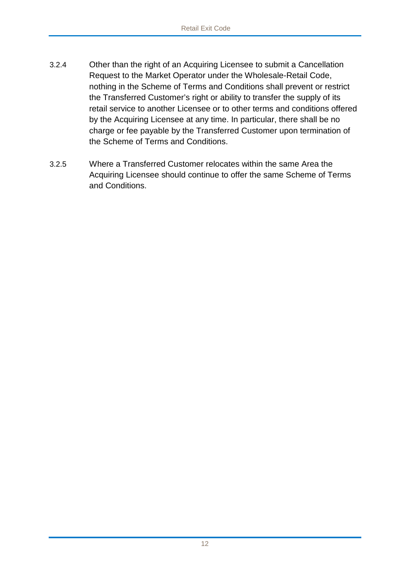- 3.2.4 Other than the right of an Acquiring Licensee to submit a Cancellation Request to the Market Operator under the Wholesale-Retail Code, nothing in the Scheme of Terms and Conditions shall prevent or restrict the Transferred Customer's right or ability to transfer the supply of its retail service to another Licensee or to other terms and conditions offered by the Acquiring Licensee at any time. In particular, there shall be no charge or fee payable by the Transferred Customer upon termination of the Scheme of Terms and Conditions.
- 3.2.5 Where a Transferred Customer relocates within the same Area the Acquiring Licensee should continue to offer the same Scheme of Terms and Conditions.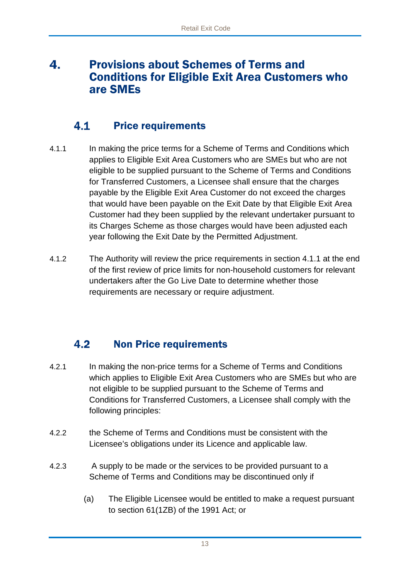## <span id="page-12-0"></span>4. Provisions about Schemes of Terms and Conditions for Eligible Exit Area Customers who are SMEs

#### <span id="page-12-1"></span> $4.1$ Price requirements

- 4.1.1 In making the price terms for a Scheme of Terms and Conditions which applies to Eligible Exit Area Customers who are SMEs but who are not eligible to be supplied pursuant to the Scheme of Terms and Conditions for Transferred Customers, a Licensee shall ensure that the charges payable by the Eligible Exit Area Customer do not exceed the charges that would have been payable on the Exit Date by that Eligible Exit Area Customer had they been supplied by the relevant undertaker pursuant to its Charges Scheme as those charges would have been adjusted each year following the Exit Date by the Permitted Adjustment.
- 4.1.2 The Authority will review the price requirements in section 4.1.1 at the end of the first review of price limits for non-household customers for relevant undertakers after the Go Live Date to determine whether those requirements are necessary or require adjustment.

## <span id="page-12-2"></span> $4.2$ Non Price requirements

- 4.2.1 In making the non-price terms for a Scheme of Terms and Conditions which applies to Eligible Exit Area Customers who are SMEs but who are not eligible to be supplied pursuant to the Scheme of Terms and Conditions for Transferred Customers, a Licensee shall comply with the following principles:
- 4.2.2 the Scheme of Terms and Conditions must be consistent with the Licensee's obligations under its Licence and applicable law.
- 4.2.3 A supply to be made or the services to be provided pursuant to a Scheme of Terms and Conditions may be discontinued only if
	- (a) The Eligible Licensee would be entitled to make a request pursuant to section 61(1ZB) of the 1991 Act; or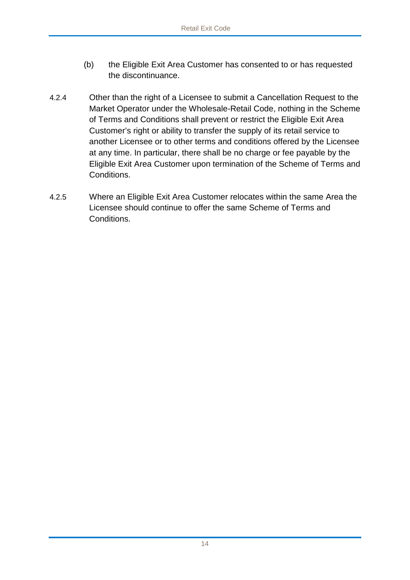- (b) the Eligible Exit Area Customer has consented to or has requested the discontinuance.
- 4.2.4 Other than the right of a Licensee to submit a Cancellation Request to the Market Operator under the Wholesale-Retail Code, nothing in the Scheme of Terms and Conditions shall prevent or restrict the Eligible Exit Area Customer's right or ability to transfer the supply of its retail service to another Licensee or to other terms and conditions offered by the Licensee at any time. In particular, there shall be no charge or fee payable by the Eligible Exit Area Customer upon termination of the Scheme of Terms and Conditions.
- 4.2.5 Where an Eligible Exit Area Customer relocates within the same Area the Licensee should continue to offer the same Scheme of Terms and **Conditions**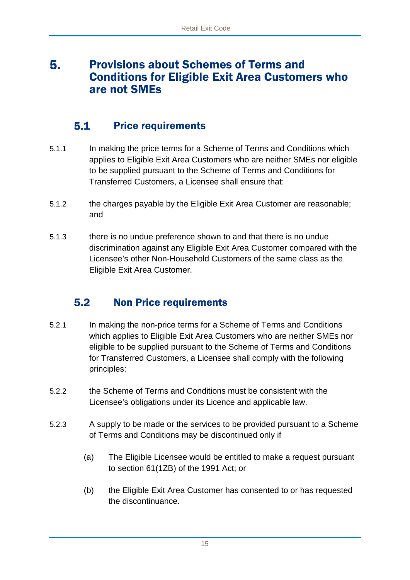## <span id="page-14-0"></span>5. Provisions about Schemes of Terms and Conditions for Eligible Exit Area Customers who are not SMEs

### $5.1$ Price requirements

- <span id="page-14-1"></span>5.1.1 In making the price terms for a Scheme of Terms and Conditions which applies to Eligible Exit Area Customers who are neither SMEs nor eligible to be supplied pursuant to the Scheme of Terms and Conditions for Transferred Customers, a Licensee shall ensure that:
- 5.1.2 the charges payable by the Eligible Exit Area Customer are reasonable; and
- 5.1.3 there is no undue preference shown to and that there is no undue discrimination against any Eligible Exit Area Customer compared with the Licensee's other Non-Household Customers of the same class as the Eligible Exit Area Customer.

## <span id="page-14-2"></span> $5.2$ Non Price requirements

- 5.2.1 In making the non-price terms for a Scheme of Terms and Conditions which applies to Eligible Exit Area Customers who are neither SMEs nor eligible to be supplied pursuant to the Scheme of Terms and Conditions for Transferred Customers, a Licensee shall comply with the following principles:
- 5.2.2 the Scheme of Terms and Conditions must be consistent with the Licensee's obligations under its Licence and applicable law.
- 5.2.3 A supply to be made or the services to be provided pursuant to a Scheme of Terms and Conditions may be discontinued only if
	- (a) The Eligible Licensee would be entitled to make a request pursuant to section 61(1ZB) of the 1991 Act; or
	- (b) the Eligible Exit Area Customer has consented to or has requested the discontinuance.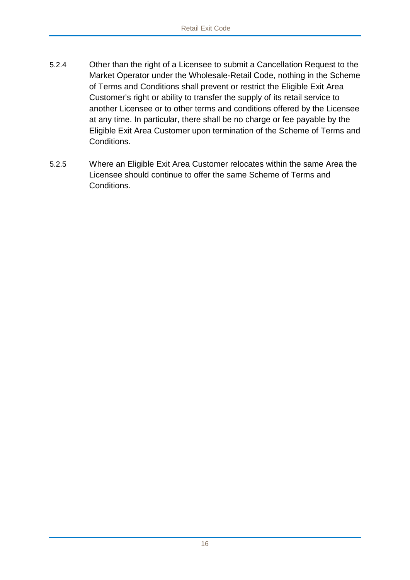- 5.2.4 Other than the right of a Licensee to submit a Cancellation Request to the Market Operator under the Wholesale-Retail Code, nothing in the Scheme of Terms and Conditions shall prevent or restrict the Eligible Exit Area Customer's right or ability to transfer the supply of its retail service to another Licensee or to other terms and conditions offered by the Licensee at any time. In particular, there shall be no charge or fee payable by the Eligible Exit Area Customer upon termination of the Scheme of Terms and Conditions.
- 5.2.5 Where an Eligible Exit Area Customer relocates within the same Area the Licensee should continue to offer the same Scheme of Terms and **Conditions**